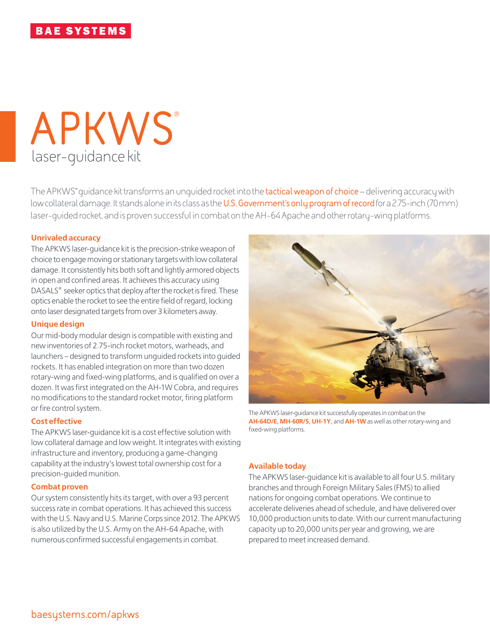# laser-guidance kit **APKWS**®

The APKWS® guidance kit transforms an unguided rocket into the **tactical weapon of choice** – delivering accuracy with low collateral damage. It stands alone in its class as the **U.S. Government's only program of record** for a 2.75-inch (70mm) laser-guided rocket, and is proven successful in combat on the AH-64 Apache and other rotary-wing platforms.

#### **Unrivaled accuracy**

The APKWS laser-guidance kit is the precision-strike weapon of choice to engage moving or stationary targets with low collateral damage. It consistently hits both soft and lightly armored objects in open and confined areas. It achieves this accuracy using DASALS® seeker optics that deploy after the rocket is fired. These optics enable the rocket to see the entire field of regard, locking onto laser designated targets from over 3 kilometers away.

#### **Unique design**

Our mid-body modular design is compatible with existing and new inventories of 2.75-inch rocket motors, warheads, and launchers – designed to transform unguided rockets into guided rockets. It has enabled integration on more than two dozen rotary-wing and fixed-wing platforms, and is qualified on over a dozen. It was first integrated on the AH-1W Cobra, and requires no modifications to the standard rocket motor, firing platform or fire control system.

#### **Cost effective**

The APKWS laser-guidance kit is a cost effective solution with low collateral damage and low weight. It integrates with existing infrastructure and inventory, producing a game-changing capability at the industry's lowest total ownership cost for a precision-guided munition.

#### **Combat proven**

Our system consistently hits its target, with over a 93 percent success rate in combat operations. It has achieved this success with the U.S. Navy and U.S. Marine Corps since 2012. The APKWS is also utilized by the U.S. Army on the AH-64 Apache, with numerous confirmed successful engagements in combat.



The APKWS laser-guidance kit successfully operates in combat on the **AH-64D/E**, **MH-60R/S**, **UH-1Y**, and **AH-1W** as well as other rotary-wing and fixed-wing platforms.

#### **Available today**

The APKWS laser-guidance kit is available to all four U.S. military branches and through Foreign Military Sales (FMS) to allied nations for ongoing combat operations. We continue to accelerate deliveries ahead of schedule, and have delivered over 10,000 production units to date. With our current manufacturing capacity up to 20,000 units per year and growing, we are prepared to meet increased demand.